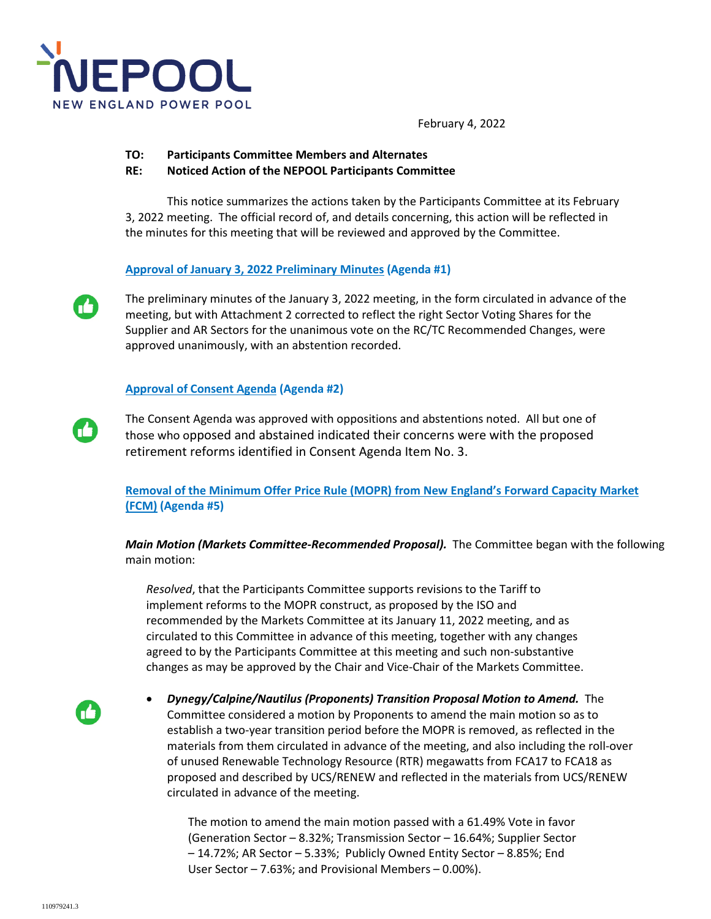

February 4, 2022

- **TO: Participants Committee Members and Alternates**
- **RE: Noticed Action of the NEPOOL Participants Committee**

This notice summarizes the actions taken by the Participants Committee at its February 3, 2022 meeting. The official record of, and details concerning, this action will be reflected in the minutes for this meeting that will be reviewed and approved by the Committee.

## **Approval of January 3, 2022 Preliminary Minutes (Agenda #1)**

The preliminary minutes of the January 3, 2022 meeting, in the form circulated in advance of the meeting, but with Attachment 2 corrected to reflect the right Sector Voting Shares for the Supplier and AR Sectors for the unanimous vote on the RC/TC Recommended Changes, were approved unanimously, with an abstention recorded.

## **Approval of Consent Agenda (Agenda #2)**

The Consent Agenda was approved with oppositions and abstentions noted. All but one of those who opposed and abstained indicated their concerns were with the proposed retirement reforms identified in Consent Agenda Item No. 3.

**Removal of the Minimum Offer Price Rule (MOPR) from New England's Forward Capacity Market (FCM) (Agenda #5)** 

*Main Motion (Markets Committee-Recommended Proposal).* The Committee began with the following main motion:

*Resolved*, that the Participants Committee supports revisions to the Tariff to implement reforms to the MOPR construct, as proposed by the ISO and recommended by the Markets Committee at its January 11, 2022 meeting, and as circulated to this Committee in advance of this meeting, together with any changes agreed to by the Participants Committee at this meeting and such non-substantive changes as may be approved by the Chair and Vice-Chair of the Markets Committee.

n6

 *Dynegy/Calpine/Nautilus (Proponents) Transition Proposal Motion to Amend.* The Committee considered a motion by Proponents to amend the main motion so as to establish a two-year transition period before the MOPR is removed, as reflected in the materials from them circulated in advance of the meeting, and also including the roll-over of unused Renewable Technology Resource (RTR) megawatts from FCA17 to FCA18 as proposed and described by UCS/RENEW and reflected in the materials from UCS/RENEW circulated in advance of the meeting.

The motion to amend the main motion passed with a 61.49% Vote in favor (Generation Sector – 8.32%; Transmission Sector – 16.64%; Supplier Sector – 14.72%; AR Sector – 5.33%; Publicly Owned Entity Sector – 8.85%; End User Sector – 7.63%; and Provisional Members – 0.00%).